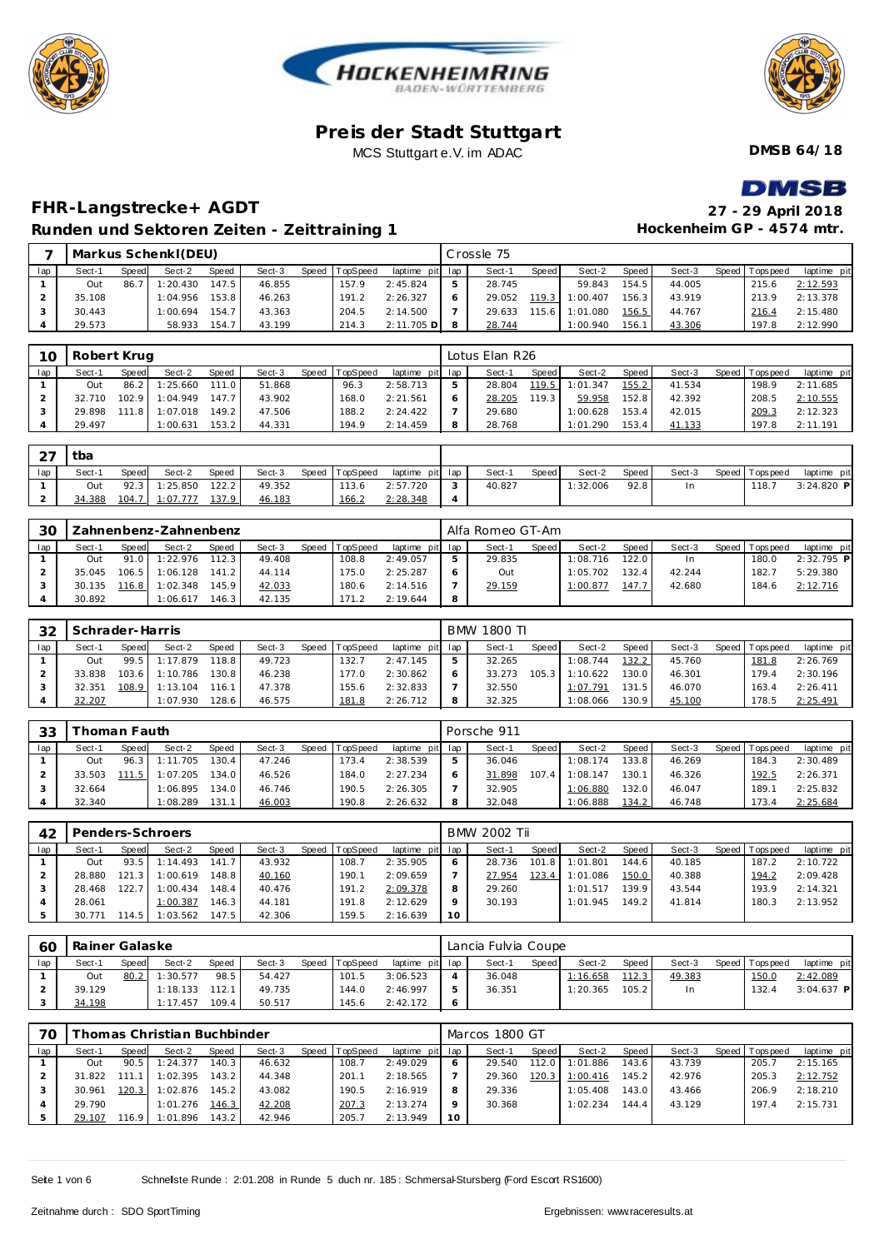





**DMSB 64/18**

# DMSR

## **FHR-Langstrecke+ AGDT 27 - 29 April 2018 Runden und Sektoren Zeiten - Zeittraining 1**

| 27 - 29 April 2018        |
|---------------------------|
| Hockenheim GP - 4574 mtr. |

|     |        |       | Markus Schenkl(DEU) |       |        |       |          |                 | Crossle 75 |       |          |       |        |                 |             |
|-----|--------|-------|---------------------|-------|--------|-------|----------|-----------------|------------|-------|----------|-------|--------|-----------------|-------------|
| lap | Sect-1 | Speed | Sect-2              | Speed | Sect-3 | Speed | TopSpeed | laptime pit lap | Sect-1     | Speed | Sect-2   | Speed | Sect-3 | Speed Tops peed | laptime pit |
|     | Out    | 86.7  | 1:20.430            | 147.5 | 46.855 |       | 157.9    | 2:45.824        | 28.745     |       | 59.843   | 154.5 | 44.005 | 215.6           | 2:12.593    |
|     | 35.108 |       | 1:04.956            | 153.8 | 46.263 |       | 191.2    | 2:26.327        | 29.052     | 119.3 | 1:00.407 | 156.3 | 43.919 | 213.9           | 2:13.378    |
|     | 30.443 |       | 1:00.694            | 154.7 | 43.363 |       | 204.5    | 2:14.500        | 29.633     | 115.6 | 1:01.080 | 156.5 | 44.767 | 216.4           | 2:15.480    |
|     | 29.573 |       | 58.933              | 154.7 | 43.199 |       | 214.3    | $2:11.705$ D    | 28.744     |       | 1:00.940 | 156.1 | 43.306 | 197.8           | 2:12.990    |

| $10 \,$ |        | Robert Krug<br>Speed TopSpeed<br>Speed<br>Sect-3<br>Sect-2<br>Sect-1<br>Speed<br>$1:25.660$ 111.0<br>51.868<br>86.2<br>96.3<br>Out |                |       |        |  |       |                 |   | Lotus Elan R26 |       |          |         |        |                |             |
|---------|--------|------------------------------------------------------------------------------------------------------------------------------------|----------------|-------|--------|--|-------|-----------------|---|----------------|-------|----------|---------|--------|----------------|-------------|
| lap     |        |                                                                                                                                    |                |       |        |  |       | laptime pit lap |   | Sect-1         | Speed | Sect-2   | Speed I | Sect-3 | Speed Topspeed | laptime pit |
|         |        |                                                                                                                                    |                |       |        |  |       | 2:58.713        |   | 28.804         | 119.5 | 1:01.347 | 155.2   | 41.534 | 198.9          | 2:11.685    |
|         | 32.710 |                                                                                                                                    | 102.9 1:04.949 | 147.7 | 43.902 |  | 168.0 | 2:21.561        |   | 28.205         | 119.3 | 59.958   | 152.8   | 42.392 | 208.5          | 2:10.555    |
|         | 29.898 | 111.8                                                                                                                              | 1:07.018       | 149.2 | 47.506 |  | 188.2 | 2:24.422        |   | 29.680         |       | 1:00.628 | 153.4   | 42.015 | 209.3          | 2:12.323    |
|         | 29.497 |                                                                                                                                    | 1:00.631       | 153.2 | 44.331 |  | 194.9 | 2:14.459        | 8 | 28.768         |       | 1:01.290 | 153.4   | 41.133 | 197.8          | 2:11.191    |

| $\cap$<br>$\sim$ | tba    |              |          |       |        |                |                 |            |        |       |          |       |        |                |              |
|------------------|--------|--------------|----------|-------|--------|----------------|-----------------|------------|--------|-------|----------|-------|--------|----------------|--------------|
| lap              | Sect-1 | <b>Speed</b> | Sect-2   | Speed | Sect-3 | Speed TopSpeed | laptime pit lap |            | Sect-1 | Speed | Sect-2   | Speed | Sect-3 | Speed Topspeed | laptime pit  |
|                  | Out    | 92.3         | 1:25.850 | 122.2 | 49.352 | 113.6          | 2:57.720        | $\sqrt{2}$ | 40.827 |       | 1:32.006 | 92.8  | ln.    | 118.           | $3:24.820$ P |
| ∠                | 34.388 | 104.7        | 1:07.777 | 137.9 | 46.183 | <u> 166.2</u>  | 2:28.348        |            |        |       |          |       |        |                |              |

| 30  |        |       | Zahnenbenz-Zahnenbenz |              |        |                |             |     | Alfa Romeo GT-Am |              |          |       |        |                |              |
|-----|--------|-------|-----------------------|--------------|--------|----------------|-------------|-----|------------------|--------------|----------|-------|--------|----------------|--------------|
| lap | Sect-1 | Speed | Sect-2                | <b>Speed</b> | Sect-3 | Speed TopSpeed | laptime pit | lap | Sect-1           | <b>Speed</b> | Sect-2   | Speed | Sect-3 | Speed Topspeed | laptime pit  |
|     | Out    | 91.0  | 1:22.976              | 112.3        | 49.408 | 108.8          | 2:49.057    |     | 29.835           |              | 1:08.716 | 122.0 | -In    | 180.0          | $2:32.795$ P |
|     | 35.045 | 106.5 | 1:06.128              | 141.2        | 44.114 | 175.0          | 2:25.287    | O   | Out              |              | 1:05.702 | 132.4 | 42.244 | 182.7          | 5:29.380     |
|     | 30.135 | 116.8 | 1:02.348              | 145.9        | 42.033 | 180.6          | 2:14.516    |     | 29.159           |              | 1:00.877 | 147.1 | 42.680 | 184.6          | 2:12.716     |
|     | 30.892 |       | : 06.617              | 146.3        | 42.135 | 171.2          | 2:19.644    | 8   |                  |              |          |       |        |                |              |

| 32  | Schrader-Harris |              |               |              |        |       |                 |                 | BMW 1800 TI |       |          |                    |        |                 |             |
|-----|-----------------|--------------|---------------|--------------|--------|-------|-----------------|-----------------|-------------|-------|----------|--------------------|--------|-----------------|-------------|
| lap | Sect-1          | <b>Speed</b> | Sect-2        | <b>Speed</b> | Sect-3 | Speed | <b>TopSpeed</b> | laptime pit lap | Sect-1      | Speed | Sect-2   | Speed i            | Sect-3 | Speed Tops peed | laptime pit |
|     | Out             |              | 99.5 1:17.879 | 118.8        | 49.723 |       | 132.7           | 2:47.145        | 32.265      |       | 1:08.744 | 132.2              | 45.760 | 181.8           | 2:26.769    |
|     | 33.838          | 103.6        | 1:10.786      | 130.8        | 46.238 |       | 177.0           | 2:30.862        | 33.273      | 105.3 | 1:10.622 | 130.0              | 46.301 | 179.4           | 2:30.196    |
|     | 32.351          | 108.9        | 1:13.104      | 116.1        | 47.378 |       | 155.6           | 2:32.833        | 32.550      |       | 1:07.791 | 131.5 <sub>1</sub> | 46.070 | 163.4           | 2:26.411    |
|     | 32.207          |              | 1:07.930      | 128.6        | 46.575 |       | 181.8           | 2:26.712        | 32.325      |       | 1:08.066 | 130.9              | 45.100 | 178.5           | 2:25.491    |

| 33  |        | `homan Fauth |          |              |        |                |             |     | Porsche 911 |                    |          |       |        |                |             |
|-----|--------|--------------|----------|--------------|--------|----------------|-------------|-----|-------------|--------------------|----------|-------|--------|----------------|-------------|
| lap | Sect-1 | Speed        | Sect-2   | <b>Speed</b> | Sect-3 | Speed TopSpeed | laptime pit | lap | Sect-1      | Speed              | Sect-2   | Speed | Sect-3 | Speed Topspeed | laptime pit |
|     | Out    | 96.3         | 1:11.705 | 130.4        | 47.246 | 73.4           | 2:38.539    |     | 36.046      |                    | 1:08.174 | 133.8 | 46.269 | 184.3          | 2:30.489    |
|     | 33.503 | -5.          | 1:07.205 | 134.0        | 46.526 | 184.0          | 2:27.234    | 6   | 31.898      | 107.4 <sub>1</sub> | 1:08.147 | 130.1 | 46.326 | 192.5          | 2:26.371    |
|     | 32.664 |              | 1:06.895 | 134.0        | 46.746 | 190.5          | 2:26.305    |     | 32.905      |                    | 1:06.880 | 132.0 | 46.047 | 189.1          | 2:25.832    |
|     | 32.340 |              | 1:08.289 | 131.         | 46.003 | 190.8          | 2:26.632    | 8   | 32.048      |                    | 1:06.888 | 134.2 | 46.748 | 173.4          | 2:25.684    |

| 42  |        |       | Penders-Schroers |        |        |                |                 |    | <b>BMW 2002 Tii</b> |         |          |         |        |                |             |
|-----|--------|-------|------------------|--------|--------|----------------|-----------------|----|---------------------|---------|----------|---------|--------|----------------|-------------|
| lap | Sect-1 | Speed | Sect-2           | Speed  | Sect-3 | Speed TopSpeed | laptime pit lap |    | Sect-1              | Speed I | Sect-2   | Speed I | Sect-3 | Speed Topspeed | laptime pit |
|     | Out    | 93.5  | 1:14.493         | 141.7  | 43.932 | 108.7          | 2:35.905        | 6  | 28.736              | 101.8   | 1:01.801 | 144.6   | 40.185 | 187.2          | 2:10.722    |
|     | 28.880 | 121.3 | 1:00.619         | 148.8  | 40.160 | 190.1          | 2:09.659        |    | 27.954              | 123.4   | 1:01.086 | 150.0   | 40.388 | 194.2          | 2:09.428    |
|     | 28.468 | 122.  | 1:00.434         | 148.4  | 40.476 | 191.2          | 2:09.378        | 8  | 29.260              |         | 1:01.517 | 139.9   | 43.544 | 193.9          | 2:14.321    |
|     | 28.061 |       | 1:00.387         | 146.31 | 44.181 | 191.8          | 2:12.629        | Q  | 30.193              |         | 1:01.945 | 149.21  | 41.814 | 180.3          | 2:13.952    |
|     | 30.771 | 114.5 | : 03.562         | 147.5  | 42.306 | 159.5          | 2:16.639        | 10 |                     |         |          |         |        |                |             |

| 60  | Rainer Galaske<br>Speed TopSpeed<br>Sect-2<br>Speed<br>Sect-3<br>Sect-1<br>Speed<br>98.5<br>1:30.577<br>80.2<br>54.427<br>101.5<br>Out |  |                      |       |        |  |       |                 |    | Lancia Fulvia Coupe |       |          |       |        |                 |              |
|-----|----------------------------------------------------------------------------------------------------------------------------------------|--|----------------------|-------|--------|--|-------|-----------------|----|---------------------|-------|----------|-------|--------|-----------------|--------------|
| lap |                                                                                                                                        |  |                      |       |        |  |       | laptime pit lap |    | Sect-1              | Speed | Sect-2   | Speed | Sect-3 | Speed Tops peed | laptime pit  |
|     |                                                                                                                                        |  |                      |       |        |  |       | 3:06.523        |    | 36.048              |       | 1:16.658 | 112.3 | 49.383 | 150.0           | 2:42.089     |
|     | 39.129                                                                                                                                 |  | 1:18.133             | 112.1 | 49.735 |  | 144.0 | 2:46.997        | b. | 36.351              |       | 1:20.365 | 105.2 | In.    | 132.4           | $3:04.637$ P |
|     | 34.198                                                                                                                                 |  | 7.457<br>$1 \cdot 1$ | 109.4 | 50.517 |  | 145.6 | 2:42.172        | O  |                     |       |          |       |        |                 |              |

| 70  |        |       | Thomas Christian Buchbinder |       |        |                |                 |         | Marcos 1800 GT |       |          |       |        |                 |             |
|-----|--------|-------|-----------------------------|-------|--------|----------------|-----------------|---------|----------------|-------|----------|-------|--------|-----------------|-------------|
| lap | Sect-1 | Speed | Sect-2                      | Speed | Sect-3 | Speed TopSpeed | laptime pit lap |         | Sect-1         | Speed | Sect-2   | Speed | Sect-3 | Speed Tops peed | laptime pit |
|     | Out    | 90.5  | 1:24.377                    | 140.3 | 46.632 | 108.7          | 2:49.029        | 6       | 29.540         | 12.0  | 1:01.886 | 143.6 | 43.739 | 205.7           | 2:15.165    |
|     | 31.822 |       | 1:02.395                    | 143.2 | 44.348 | 201            | 2:18.565        |         | 29.360         | 120.3 | 1:00.416 | 145.2 | 42.976 | 205.3           | 2:12.752    |
|     | 30.961 | 120.3 | 1:02.876                    | 145.2 | 43.082 | 190.5          | 2:16.919        | 8       | 29.336         |       | 1:05.408 | 143.0 | 43.466 | 206.9           | 2:18.210    |
|     | 29.790 |       | 1:01.276                    | 146.3 | 42.208 | 207.3          | 2:13.274        | $\circ$ | 30.368         |       | 1:02.234 | 144.4 | 43.129 | 197.4           | 2:15.731    |
|     | 29.107 | 16.9  | 1:01.896                    | 143.2 | 42.946 | 205.7          | 2:13.949        | 10      |                |       |          |       |        |                 |             |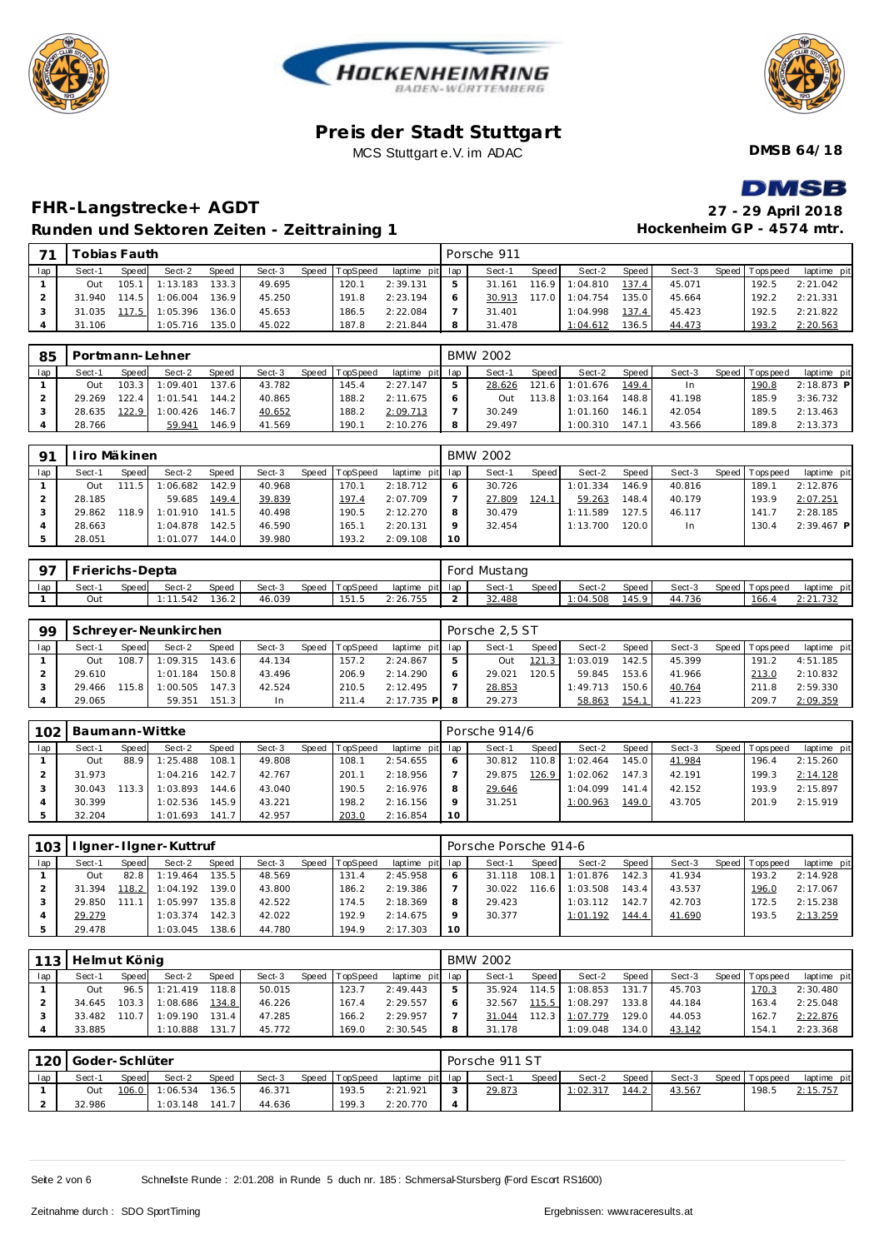





**DMSB 64/18**

## **DMSR**

## **FHR-Langstrecke+ AGDT 27 - 29 April 2018 Runden und Sektoren Zeiten - Zeittraining 1**

| 27 - 29 April 2018        |
|---------------------------|
| Hockenheim GP - 4574 mtr. |

| 71  |        | Tobias Fauth |          |       |        |       |          |                 |    | Porsche 911 |       |          |                    |        |                 |             |
|-----|--------|--------------|----------|-------|--------|-------|----------|-----------------|----|-------------|-------|----------|--------------------|--------|-----------------|-------------|
| lap | Sect-1 | Speed        | Sect-2   | Speed | Sect-3 | Speed | TopSpeed | laptime pit lap |    | Sect-1      | Speed | Sect-2   | Speed              | Sect-3 | Speed Tops peed | laptime pit |
|     | Out    | 105.1        | 1:13.183 | 133.3 | 49.695 |       | 120.1    | 2:39.131        | 5. | 31.161      | 116.9 | 1:04.810 | 137.4              | 45.071 | 192.5           | 2:21.042    |
|     | 31.940 | 114.5        | 1:06.004 | 136.9 | 45.250 |       | 191.8    | 2:23.194        |    | 30.913      | 117.0 | 1:04.754 | 135.0              | 45.664 | 192.2           | 2:21.331    |
|     | 31.035 | 117.5        | 1:05.396 | 136.0 | 45.653 |       | 186.5    | 2:22.084        |    | 31.401      |       | 1:04.998 | 137.4              | 45.423 | 192.5           | 2:21.822    |
|     | 31.106 |              | 1:05.716 | 135.0 | 45.022 |       | 187.8    | 2:21.844        | 8  | 31.478      |       | 1:04.612 | 136.5 <sub>1</sub> | 44.473 | 193.2           | 2:20.563    |

| 85  | Portmann-Lehner<br>TopSpeed<br>Sect-2<br><b>Speed</b><br>Sect-3<br>Speed  <br>Sect-1<br><b>Speed</b><br>137.6<br>43.782<br>103.3<br>1:09.401<br>145.4<br>Out |       |          |       |        |  |       |                 | <b>BMW 2002</b> |        |          |        |        |                 |              |
|-----|--------------------------------------------------------------------------------------------------------------------------------------------------------------|-------|----------|-------|--------|--|-------|-----------------|-----------------|--------|----------|--------|--------|-----------------|--------------|
| lap |                                                                                                                                                              |       |          |       |        |  |       | laptime pit lap | Sect-1          | Speed  | Sect-2   | Speed  | Sect-3 | Speed Tops peed | laptime pit  |
|     |                                                                                                                                                              |       |          |       |        |  |       | 2:27.147        | 28.626          | 121.6  | 1:01.676 | 149.4  | In     | 190.8           | $2:18.873$ P |
|     | 29.269                                                                                                                                                       | 122.4 | 1:01.541 | 144.2 | 40.865 |  | 188.2 | 2:11.675        | Out             | 113.81 | 1:03.164 | 148.81 | 41.198 | 185.9           | 3:36.732     |
|     | 28.635                                                                                                                                                       | 122.9 | 1:00.426 | 146.7 | 40.652 |  | 188.2 | 2:09.713        | 30.249          |        | 1:01.160 | 146.1  | 42.054 | 189.5           | 2:13.463     |
|     | 28.766                                                                                                                                                       |       | 59.941   | 146.9 | 41.569 |  | 190.1 | 2:10.276        | 29.497          |        | 1:00.310 | 147.   | 43.566 | 189.8           | 2:13.373     |

| O1  |        | l iro Mäkinen |          |                    |        |       |          |                 |    | <b>BMW 2002</b> |       |          |       |        |                 |              |
|-----|--------|---------------|----------|--------------------|--------|-------|----------|-----------------|----|-----------------|-------|----------|-------|--------|-----------------|--------------|
| lap | Sect-1 | Speed         | Sect-2   | <b>Speed</b>       | Sect-3 | Speed | TopSpeed | laptime pit lap |    | Sect-1          | Speed | Sect-2   | Speed | Sect-3 | Speed Tops peed | laptime pit  |
|     | Out    | $\mathcal{D}$ | 1:06.682 | 142.9              | 40.968 |       | 170.1    | 2:18.712        |    | 30.726          |       | 1:01.334 | 146.9 | 40.816 | 189.1           | 2:12.876     |
|     | 28.185 |               | 59.685   | 149.4 <sub>1</sub> | 39.839 |       | 197.4    | 2:07.709        |    | 27.809          | 124.1 | 59.263   | 148.4 | 40.179 | 193.9           | 2:07.251     |
|     | 29.862 | 118.9         | 1:01.910 | 141.5              | 40.498 |       | 190.5    | 2:12.270        |    | 30.479          |       | 1:11.589 | 127.5 | 46.117 | 141.7           | 2:28.185     |
|     | 28.663 |               | 1:04.878 | 142.5              | 46.590 |       | 165.7    | 2:20.131        |    | 32.454          |       | 1:13.700 | 120.0 | In.    | 130.4           | $2:39.467$ P |
|     | 28.051 |               | 1:01.077 | 144.0              | 39.980 |       | 193.2    | 2:09.108        | 10 |                 |       |          |       |        |                 |              |

| റ്റ | Frierichs-Depta |       |        |       |        |                |                 |   | Ford Mustang |       |         |       |        |                |             |
|-----|-----------------|-------|--------|-------|--------|----------------|-----------------|---|--------------|-------|---------|-------|--------|----------------|-------------|
| lap | Sect-           | Speed | Sect-2 | Speed | Sect-3 | Speed TopSpeed | laptime pit lap |   | Sect-        | Speed | Sect-2  | Speed | Sect-3 | Speed Topspeed | laptime pit |
|     | Out             |       | .542   | 136.2 | 46.039 | 151.5          | 26.755          | - | 32.488       |       | :04.508 | 145.9 | 44.736 | 166.4          | 2:21.732    |

| 99  |        |              | Schreyer-Neunkirchen |       |           |                |                 | Porsche 2.5 ST |       |          |       |        |                 |             |
|-----|--------|--------------|----------------------|-------|-----------|----------------|-----------------|----------------|-------|----------|-------|--------|-----------------|-------------|
| lap | Sect-1 | <b>Speed</b> | Sect-2               | Speed | Sect-3    | Speed TopSpeed | laptime pit lap | Sect-1         | Speed | Sect-2   | Speed | Sect-3 | Speed Tops peed | laptime pit |
|     | Out    | 108.7        | 1:09.315             | 143.6 | 44.134    | 157.2          | 2:24.867        | Out            | 121.3 | 1:03.019 | 142.5 | 45.399 | 191.2           | 4:51.185    |
|     | 29.610 |              | 1:01.184             | 150.8 | 43.496    | 206.9          | 2:14.290        | 29.021         | 120.5 | 59.845   | 153.6 | 41.966 | 213.0           | 2:10.832    |
|     | 29.466 | 15.8         | 1:00.505             | 147.3 | 42.524    | 210.5          | 2:12.495        | 28.853         |       | 1:49.713 | 150.6 | 40.764 | 211.8           | 2:59.330    |
|     | 29.065 |              | 59.351               | 151.3 | <b>In</b> | 211.4          | $2:17.735$ P    | 29.273         |       | 58.863   | 154.1 | 41.223 | 209.7           | 2:09.359    |

| 102 | Baumann-Wittke |       |          |       |        |                  |                 |         | Porsche 914/6 |       |          |       |        |                |             |
|-----|----------------|-------|----------|-------|--------|------------------|-----------------|---------|---------------|-------|----------|-------|--------|----------------|-------------|
| lap | Sect-1         | Speed | Sect-2   | Speed | Sect-3 | Speed   TopSpeed | laptime pit lap |         | Sect-1        | Speed | Sect-2   | Speed | Sect-3 | Speed Topspeed | laptime pit |
|     | Out            | 88.9  | 1:25.488 | 108.1 | 49.808 | 108.7            | 2:54.655        | 6       | 30.812        | 110.8 | 1:02.464 | 145.0 | 41.984 | 196.4          | 2:15.260    |
|     | 31.973         |       | 1:04.216 | 142.7 | 42.767 | 201              | 2:18.956        |         | 29.875        | 126.9 | 1:02.062 | 147.3 | 42.191 | 199.3          | 2:14.128    |
|     | 30.043         | 13    | 1:03.893 | 144.6 | 43.040 | 190.5            | 2:16.976        | 8       | 29.646        |       | 1:04.099 | 141.4 | 42.152 | 193.9          | 2:15.897    |
|     | 30.399         |       | 1:02.536 | 145.9 | 43.221 | 198.2            | 2:16.156        | $\circ$ | 31.251        |       | 1:00.963 | 149.0 | 43.705 | 201.9          | 2:15.919    |
|     | 32.204         |       | 1:01.693 | 141.7 | 42.957 | 203.0            | 2:16.854        | 10      |               |       |          |       |        |                |             |

| 103 |            |       | I Igner-I Igner-Kuttruf |       |        |                |                 |    | Porsche Porsche 914-6 |         |          |                    |        |         |            |             |
|-----|------------|-------|-------------------------|-------|--------|----------------|-----------------|----|-----------------------|---------|----------|--------------------|--------|---------|------------|-------------|
| lap | Sect-1     | Speed | Sect-2                  | Speed | Sect-3 | Speed TopSpeed | laptime pit lap |    | Sect-1                | Speed I | Sect-2   | Speed              | Sect-3 | Speed I | T ops peed | laptime pit |
|     | Out        | 82.8  | 1:19.464                | 135.5 | 48.569 | 131.4          | 2:45.958        | 6  | 31.118                | 108.    | 1:01.876 | 142.3              | 41.934 |         | 193.2      | 2:14.928    |
|     | .394<br>31 | 118.2 | 1:04.192                | 139.0 | 43.800 | 186.2          | 2:19.386        |    | 30.022                | 116.6   | 1:03.508 | 143.4              | 43.537 |         | 196.0      | 2:17.067    |
|     | 29.850     |       | 1:05.997                | 135.8 | 42.522 | 174.5          | 2:18.369        | 8  | 29.423                |         | 1:03.112 | 142.7 <sub>1</sub> | 42.703 |         | 172.5      | 2:15.238    |
|     | 29.279     |       | 1:03.374                | 142.3 | 42.022 | 192.9          | 2:14.675        | Q  | 30.377                |         | 1:01.192 | 144.4              | 41.690 |         | 193.5      | 2:13.259    |
|     | 29.478     |       | 1:03.045                | 138.6 | 44.780 | 194.9          | 2:17.303        | 10 |                       |         |          |                    |        |         |            |             |

|     | 113 Helmut König |       |          |       |        |                |             |     | <b>BMW 2002</b> |        |          |       |        |                 |             |
|-----|------------------|-------|----------|-------|--------|----------------|-------------|-----|-----------------|--------|----------|-------|--------|-----------------|-------------|
| lap | Sect-1           | Speed | Sect-2   | Speed | Sect-3 | Speed TopSpeed | laptime pit | lap | Sect-1          | Speed  | Sect-2   | Speed | Sect-3 | Speed Tops peed | laptime pit |
|     | Out              | 96.5  | 1:21.419 | 118.8 | 50.015 | 123.7          | 2:49.443    |     | 35.924          | 114.5  | 1:08.853 | 131.  | 45.703 | 170.3           | 2:30.480    |
|     | 34.645           | 103.3 | 1:08.686 | 134.8 | 46.226 | 167.4          | 2:29.557    | 6   | 32.567          | 115.51 | 1:08.297 | 133.8 | 44.184 | 163.4           | 2:25.048    |
|     | 33.482           | 10.7  | 1:09.190 | 131.4 | 47.285 | 166.2          | 2:29.957    |     | 31.044          | 112.3  | 1:07.779 | 129.0 | 44.053 | 162.7           | 2:22.876    |
|     | 33.885           |       | 1:10.888 | 131.7 | 45.772 | 169.0          | 2:30.545    | 8   | 31.178          |        | 1:09.048 | 134.0 | 43.142 | 154.7           | 2:23.368    |

|     | 120 Goder-Schlüter |       |                |              |        |       |          |                 | Porsche 911 ST |       |          |                    |        |                 |             |
|-----|--------------------|-------|----------------|--------------|--------|-------|----------|-----------------|----------------|-------|----------|--------------------|--------|-----------------|-------------|
| lap | Sect-1             | Speed | Sect-2         | <b>Speed</b> | Sect-3 | Speed | TopSpeed | laptime pit lap | Sect-1         | Speed | Sect-2   | Speed I            | Sect-3 | Speed Tops peed | laptime pit |
|     | Out                |       | 106.0 1:06.534 | 136.5        | 46.371 |       | 193.5    | 2:21.921        | 29.873         |       | 1:02.317 | 144.2 <sub>1</sub> | 43.567 | 198.5           | 2:15.757    |
| ∸   | 32.986             |       | 1:03.148       | 141.7        | 44.636 |       | 199.3    | 2:20.770        |                |       |          |                    |        |                 |             |

Seite 2 von 6 Schnelste Runde : 2:01.208 in Runde 5 duch nr. 185 : Schmersal-Stursberg (Ford Escort RS1600)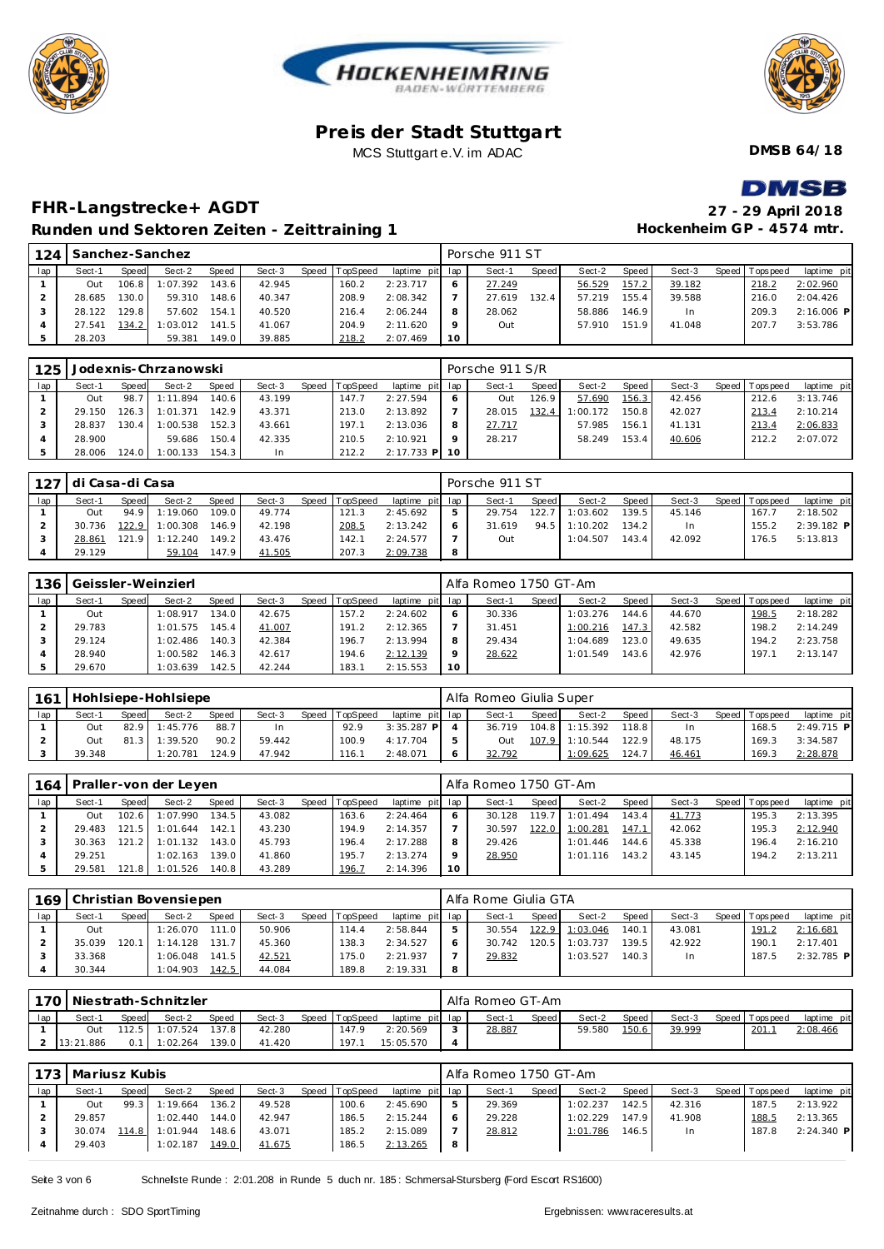





**DMSB 64/18**

## **DMSB**

**Hockenheim GP - 4574 mtr.**

## **FHR-Langstrecke+ AGDT 27 - 29 April 2018 Runden und Sektoren Zeiten - Zeittraining 1**

| 124 |        |        | Sanchez-Sanchez |       |        |       |          |                 |    | Porsche 911 ST |       |        |                    |        |                 |              |
|-----|--------|--------|-----------------|-------|--------|-------|----------|-----------------|----|----------------|-------|--------|--------------------|--------|-----------------|--------------|
| lap | Sect-1 | Speed  | Sect-2          | Speed | Sect-3 | Speed | TopSpeed | laptime pit lap |    | Sect-1         | Speed | Sect-2 | Speed              | Sect-3 | Speed Tops peed | laptime pit  |
|     | Out    | 106.8  | 1:07.392        | 143.6 | 42.945 |       | 160.2    | 2:23.717        |    | 27.249         |       | 56.529 | 157.2              | 39.182 | 218.2           | 2:02.960     |
|     | 28.685 | 130.0  | 59.310          | 148.6 | 40.347 |       | 208.9    | 2:08.342        |    | 27.619         | 132.4 | 57.219 | 155.4 <sub>1</sub> | 39.588 | 216.0           | 2:04.426     |
|     | 28.122 | 129.81 | 57.602          | 154.1 | 40.520 |       | 216.4    | 2:06.244        |    | 28.062         |       | 58.886 | 146.9              | In.    | 209.3           | $2:16.006$ P |
|     | 27.541 | 134.2  | 1:03.012        | 141.5 | 41.067 |       | 204.9    | 2:11.620        |    | Out            |       | 57.910 | 151<br>$\mathbf Q$ | 41.048 | 207.7           | 3:53.786     |
|     | 28.203 |        | 59.381          | 149.0 | 39.885 |       | 218.2    | 2:07.469        | 10 |                |       |        |                    |        |                 |              |

| 125 |        |       | Jodexnis-Chrzanowski |       |        |       |          |                 | Porsche 911 S/R |       |          |         |        |                 |             |
|-----|--------|-------|----------------------|-------|--------|-------|----------|-----------------|-----------------|-------|----------|---------|--------|-----------------|-------------|
| lap | Sect-1 | Speed | Sect-2               | Speed | Sect-3 | Speed | TopSpeed | laptime pit lap | Sect-1          | Speed | Sect-2   | Speed I | Sect-3 | Speed Tops peed | laptime pit |
|     | Out    | 98.7  | 1:11.894             | 140.6 | 43.199 |       | 147.7    | 2:27.594        | Out             | 126.9 | 57.690   | 156.3   | 42.456 | 212.6           | 3:13.746    |
|     | 29.150 | 126.3 | 1:01.371             | 142.9 | 43.371 |       | 213.0    | 2:13.892        | 28.015          | 132.4 | 1:00.172 | 150.8   | 42.027 | 213.4           | 2:10.214    |
|     | 28.837 | 30.4  | 1:00.538             | 152.3 | 43.661 |       | 197.1    | 2:13.036        | 27.717          |       | 57.985   | 156.1   | 41.131 | 213.4           | 2:06.833    |
|     | 28.900 |       | 59.686               | 150.4 | 42.335 |       | 210.5    | 2:10.921        | 28.217          |       | 58.249   | 153.4   | 40.606 | 212.2           | 2:07.072    |
|     | 28.006 | 124.0 | 1:00.133             | 154.3 | In.    |       | 212.2    | 2:17.733 P 10   |                 |       |          |         |        |                 |             |

|     | 127   di Casa-di Casa |       |          |       |        |                |                 |   | Porsche 911 ST |       |          |       |        |                 |              |
|-----|-----------------------|-------|----------|-------|--------|----------------|-----------------|---|----------------|-------|----------|-------|--------|-----------------|--------------|
| lap | Sect-1                | Speed | Sect-2   | Speed | Sect-3 | Speed TopSpeed | laptime pit lap |   | Sect-1         | Speed | Sect-2   | Speed | Sect-3 | Speed Tops peed | laptime pit  |
|     | Out                   | 94.9  | 1:19.060 | 109.0 | 49.774 | 121.3          | 2:45.692        | 5 | 29.754         | 122.7 | 1:03.602 | 139.5 | 45.146 | 167.7           | 2:18.502     |
|     | 30.736                | 122.9 | 1:00.308 | 146.9 | 42.198 | 208.5          | 2:13.242        |   | 31.619         | 94.5  | 1:10.202 | 134.2 | In.    | 155.2           | $2:39.182$ P |
|     | 28.861                | 121.9 | 1:12.240 | 149.2 | 43.476 | 142.1          | 2:24.577        |   | Out            |       | 1:04.507 | 143.4 | 42.092 | 176.5           | 5:13.813     |
|     | 29.129                |       | 59.104   | 147.9 | 41.505 | 207.3          | 2:09.738        | 8 |                |       |          |       |        |                 |              |

| 136 |        |       | Geissler-Weinzierl |       |        |       |          |                 |          | Alfa Romeo 1750 GT-Am |       |          |         |        |                 |             |
|-----|--------|-------|--------------------|-------|--------|-------|----------|-----------------|----------|-----------------------|-------|----------|---------|--------|-----------------|-------------|
| lap | Sect-1 | Speed | Sect-2             | Speed | Sect-3 | Speed | TopSpeed | laptime pit lap |          | Sect-1                | Speed | Sect-2   | Speed I | Sect-3 | Speed Tops peed | laptime pit |
|     | Out    |       | 1:08.917           | 134.0 | 42.675 |       | 157.2    | 2:24.602        |          | 30.336                |       | 1:03.276 | 144.6   | 44.670 | 198.5           | 2:18.282    |
|     | 29.783 |       | 1:01.575           | 145.4 | 41.007 |       | 191.2    | 2:12.365        |          | 31.451                |       | 1:00.216 | 147.3   | 42.582 | 198.2           | 2:14.249    |
|     | 29.124 |       | 1:02.486           | 140.3 | 42.384 |       | 196.7    | 2:13.994        | 8        | 29.434                |       | 1:04.689 | 123.0   | 49.635 | 194.2           | 2:23.758    |
|     | 28.940 |       | 1:00.582           | 146.3 | 42.617 |       | 194.6    | 2:12.139        | $\Omega$ | 28.622                |       | 1:01.549 | 143.6   | 42.976 | 197.1           | 2:13.147    |
|     | 29.670 |       | 1:03.639           | 142.5 | 42.244 |       | 183.1    | 2:15.553        | 10       |                       |       |          |         |        |                 |             |

| 161 |        |       | Hohlsiepe-Hohlsiepe |              |        |                |                 |   | Alfa Romeo Giulia Super |                    |          |       |        |                 |              |
|-----|--------|-------|---------------------|--------------|--------|----------------|-----------------|---|-------------------------|--------------------|----------|-------|--------|-----------------|--------------|
| lap | Sect-1 | Speed | Sect-2              | <b>Speed</b> | Sect-3 | Speed TopSpeed | laptime pit lap |   | Sect-1                  | Speed              | Sect-2   | Speed | Sect-3 | Speed Tops peed | laptime pit  |
|     | Out    | 82.9  | 1:45.776            | 88.7         | In     | 92.9           | $3:35.287$ P    |   | 36.719                  | 104.8 <sub>1</sub> | 1:15.392 | 118.8 | In.    | 168.5           | $2:49.715$ P |
|     | Out    |       | 1:39.520            | 90.2         | 59.442 | 100.9          | 4:17.704        | 5 | Out                     | 107.9              | 1:10.544 | 122.9 | 48.175 | 169.3           | 3:34.587     |
|     | 39.348 |       | : 20.781            | 124.9        | 47.942 | 116.1          | 2:48.071        |   | 32.792                  |                    | 1:09.625 | 124.7 | 46.461 | 169.3           | 2:28.878     |

| 164 |        |          | Praller-von der Leyen |       |        |       |          |                 |         | LAlfa Romeo 1750 GT-Am |       |          |       |        |                |             |
|-----|--------|----------|-----------------------|-------|--------|-------|----------|-----------------|---------|------------------------|-------|----------|-------|--------|----------------|-------------|
| lap | Sect-1 | Speed    | Sect-2                | Speed | Sect-3 | Speed | TopSpeed | laptime pit lap |         | Sect-1                 | Speed | Sect-2   | Speed | Sect-3 | Speed Topspeed | laptime pit |
|     | Out    | 102.6    | 1:07.990              | 134.5 | 43.082 |       | 163.6    | 2:24.464        | 6       | 30.128                 | 119.7 | 1:01.494 | 143.4 | 41.773 | 195.3          | 2:13.395    |
|     | 29.483 | 121.5    | 1:01.644              | 142.1 | 43.230 |       | 194.9    | 2:14.357        |         | 30.597                 | 122.0 | 1:00.281 | 147.1 | 42.062 | 195.3          | 2:12.940    |
|     | 30.363 | 121.2 I  | 1:01.132              | 143.0 | 45.793 |       | 196.4    | 2:17.288        | 8       | 29.426                 |       | 1:01.446 | 144.6 | 45.338 | 196.4          | 2:16.210    |
|     | 29.251 |          | 1:02.163              | 139.0 | 41.860 |       | 195.7    | 2:13.274        | $\circ$ | 28.950                 |       | 1:01.116 | 143.2 | 43.145 | 194.2          | 2:13.211    |
|     | 29.581 | 121<br>8 | 1:01.526              | 140.8 | 43.289 |       | 196.7    | 2:14.396        | 10      |                        |       |          |       |        |                |             |

|     |        |       | 169 Christian Bovensiepen |       |        |                |                 |   | Alfa Rome Giulia GTA |       |          |       |        |                 |              |
|-----|--------|-------|---------------------------|-------|--------|----------------|-----------------|---|----------------------|-------|----------|-------|--------|-----------------|--------------|
| lap | Sect-1 | Speed | Sect-2                    | Speed | Sect-3 | Speed TopSpeed | laptime pit lap |   | Sect-1               | Speed | Sect-2   | Speed | Sect-3 | Speed Tops peed | laptime pit  |
|     | Out    |       | 1:26.070                  | 111.0 | 50.906 | 114.4          | 2:58.844        | ь | 30.554               | 122.9 | 1:03.046 | 140.1 | 43.081 | 191.2           | 2:16.681     |
|     | 35.039 | 20.   | 1:14.128                  | 131.  | 45.360 | 138.3          | 2:34.527        |   | 30.742               | 20.5  | 1:03.737 | 139.5 | 42.922 | 190.1           | 2:17.401     |
|     | 33.368 |       | 1:06.048                  | 141.5 | 42.521 | '75.0          | 2:21.937        |   | 29.832               |       | 1:03.527 | 140.3 | In.    | 187.5           | $2:32.785$ P |
|     | 30.344 |       | 1:04.903                  | 142.5 | 44.084 | 189.8          | 2:19.331        | 8 |                      |       |          |       |        |                 |              |

|     | 170   Niestrath-Schnitzler |              |          |       |        |       |          |                 |        | Alfa Romeo GT-Am |       |        |       |        |                |             |
|-----|----------------------------|--------------|----------|-------|--------|-------|----------|-----------------|--------|------------------|-------|--------|-------|--------|----------------|-------------|
| lap | Sect-1                     | <b>Speed</b> | Sect-2   | Speed | Sect-3 | Speed | TopSpeed | laptime pit lap |        | Sect-            | Speed | Sect-2 | Speed | Sect-3 | Speed Topspeed | laptime pit |
|     | Out                        | 112.5        | 1:07.524 | 137.8 | 42.280 |       | 147.9    | 2:20.569        | $\sim$ | 28.887           |       | 59.580 | 150.6 | 39.999 | 201.           | 2:08.466    |
|     | 13:21.886                  | 0.1          | 1:02.264 | 139.0 | 41.420 |       | 197.     | 15:05.570       |        |                  |       |        |       |        |                |             |

|     | 173   Mariusz Kubis |       |          |       |        |                |                 |     | l Alfa Romeo 1750 GT-Am |       |          |         |        |                 |              |
|-----|---------------------|-------|----------|-------|--------|----------------|-----------------|-----|-------------------------|-------|----------|---------|--------|-----------------|--------------|
| lap | Sect-1              | Speed | Sect-2   | Speed | Sect-3 | Speed TopSpeed | laptime pit lap |     | Sect-1                  | Speed | Sect-2   | Speed I | Sect-3 | Speed Tops peed | laptime pit  |
|     | Out                 | 99.3  | 1:19.664 | 136.2 | 49.528 | 100.6          | 2:45.690        | -5  | 29.369                  |       | 1:02.237 | 142.5   | 42.316 | 187.5           | 2:13.922     |
|     | 29.857              |       | 1:02.440 | 144.0 | 42.947 | 186.5          | 2:15.244        | -6  | 29.228                  |       | 1:02.229 | 147.9   | 41.908 | 188.5           | 2:13.365     |
|     | 30.074              | 114.8 | 1:01.944 | 148.6 | 43.071 | 185.2          | 2:15.089        |     | 28.812                  |       | 1:01.786 | 146.5   | In.    | 187.8           | $2:24.340$ P |
|     | 29.403              |       | 1:02.187 | 149.0 | 41.675 | 186.5          | 2:13.265        | - 8 |                         |       |          |         |        |                 |              |

Seite 3 von 6 Schnelste Runde : 2:01.208 in Runde 5 duch nr. 185 : Schmersal-Stursberg (Ford Escort RS1600)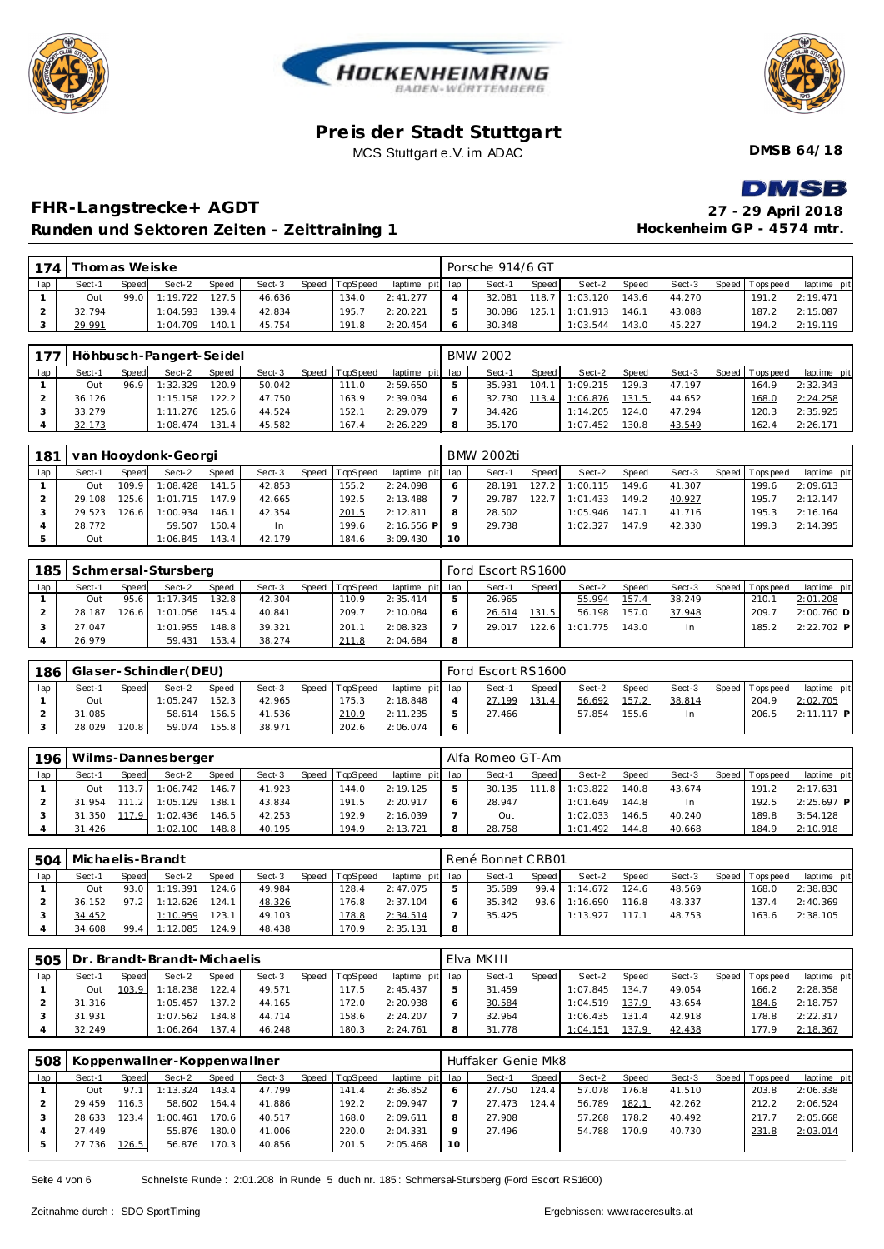





**DMSB 64/18**

## DMSR

### **FHR-Langstrecke+ AGDT 27 - 29 April 2018 Runden und Sektoren Zeiten - Zeittraining 1**

| $\blacksquare$            |
|---------------------------|
| 27 - 29 April 2018        |
| Hockenheim GP - 4574 mtr. |

| 174 | Thomas Weiske |       |          |       |        |       |                 |                 |   | Porsche 914/6 GT |       |          |       |        |                |             |
|-----|---------------|-------|----------|-------|--------|-------|-----------------|-----------------|---|------------------|-------|----------|-------|--------|----------------|-------------|
| lap | Sect-1        | Speed | Sect-2   | Speed | Sect-3 | Speed | <b>TopSpeed</b> | laptime pit lap |   | Sect-1           | Speed | Sect-2   | Speed | Sect-3 | Speed Topspeed | laptime pit |
|     | Out           | 99.0  | 1:19.722 | 127.5 | 46.636 |       | 134.0           | 2:41.277        |   | 32.081           | 118.7 | 1:03.120 | 143.6 | 44.270 | 191.2          | 2:19.471    |
|     | 32.794        |       | 1:04.593 | 139.4 | 42.834 |       | 195.7           | 2:20.221        |   | 30.086           | 125.1 | 1:01.913 | 146.1 | 43.088 | 187.2          | 2:15.087    |
|     | 29.991        |       | 1:04.709 | 140.1 | 45.754 |       | 191.8           | 2:20.454        | O | 30.348           |       | 1:03.544 | 143.0 | 45.227 | 194.2          | 2:19.119    |

|     |        |       | 177   Höhbusch-Pangert-Seidel |       |        |                |                 |   | <b>BMW 2002</b> |         |                |         |        |                 |             |
|-----|--------|-------|-------------------------------|-------|--------|----------------|-----------------|---|-----------------|---------|----------------|---------|--------|-----------------|-------------|
| lap | Sect-1 | Speed | Sect-2                        | Speed | Sect-3 | Speed TopSpeed | laptime pit lap |   | Sect-1          | Speed I | Sect-2         | Speed I | Sect-3 | Speed Tops peed | laptime pit |
|     | Out    | 96.9  | 1:32.329                      | 120.9 | 50.042 | 111.0          | 2:59.650        | 5 | 35.931          | 104.1   | 1:09.215       | 129.3   | 47.197 | 164.9           | 2:32.343    |
|     | 36.126 |       | 1:15.158                      | 122.2 | 47.750 | 163.9          | 2:39.034        |   | 32.730          |         | 113.4 1:06.876 | 131.5   | 44.652 | 168.0           | 2:24.258    |
|     | 33.279 |       | 1:11.276                      | 125.6 | 44.524 | 152.1          | 2:29.079        |   | 34.426          |         | 1:14.205       | 124.0   | 47.294 | 120.3           | 2:35.925    |
|     | 32.173 |       | 1:08.474                      | 131.4 | 45.582 | 167.4          | 2:26.229        | 8 | 35.170          |         | 1:07.452       | 130.8   | 43.549 | 162.4           | 2:26.171    |

| 181 |        |       | van Hooydonk-Georgi |        |        |       |          |                 |         | BMW 2002ti |       |          |                    |        |       |            |             |
|-----|--------|-------|---------------------|--------|--------|-------|----------|-----------------|---------|------------|-------|----------|--------------------|--------|-------|------------|-------------|
| lap | Sect-1 | Speed | Sect-2              | Speed  | Sect-3 | Speed | TopSpeed | laptime pit lap |         | Sect-1     | Speed | Sect-2   | Speed              | Sect-3 | Speed | T ops peed | laptime pit |
|     | Out    | 109.9 | 1:08.428            | 141.5  | 42.853 |       | 155.2    | 2:24.098        |         | 28.191     | 127.2 | 1:00.115 | 149.6              | 41.307 |       | 199.6      | 2:09.613    |
|     | 29.108 | 25.6  | 1:01.715            | 147.91 | 42.665 |       | 192.5    | 2:13.488        |         | 29.787     | 122.7 | 1:01.433 | 149.2 <sub>1</sub> | 40.927 |       | 195.7      | 2:12.147    |
|     | 29.523 | 26.6  | 1:00.934            | 146.1  | 42.354 |       | 201.5    | 2:12.811        |         | 28.502     |       | 1:05.946 | 147.1              | 41.716 |       | 195.3      | 2:16.164    |
|     | 28.772 |       | 59.507              | 150.4  | In.    |       | 199.6    | $2:16.556$ P    | $\circ$ | 29.738     |       | 1:02.327 | 147.9              | 42.330 |       | 199.3      | 2:14.395    |
|     | Out    |       | 1:06.845            | 143.4  | 42.179 |       | 184.6    | 3:09.430        | 10      |            |       |          |                    |        |       |            |             |

| 185 |        |       | Schmersal-Stursberg |       |        |                |                 |   | Ford Escort RS1600 |        |          |         |        |                 |              |
|-----|--------|-------|---------------------|-------|--------|----------------|-----------------|---|--------------------|--------|----------|---------|--------|-----------------|--------------|
| lap | Sect-1 | Speed | Sect-2              | Speed | Sect-3 | Speed TopSpeed | laptime pit lap |   | Sect-1             | Speed  | Sect-2   | Speed I | Sect-3 | Speed Tops peed | laptime pit  |
|     | Out    |       | 95.6 1:17.345       | 132.8 | 42.304 | 110.9          | 2:35.414        |   | 26.965             |        | 55.994   | 157.4   | 38.249 | 210.7           | 2:01.208     |
|     | 28.187 |       | 126.6 1:01.056      | 145.4 | 40.841 | 209.7          | 2:10.084        |   | 26.614             | 131.5  | 56.198   | 157.0   | 37.948 | 209.7           | $2:00.760$ D |
|     | 27.047 |       | 1:01.955            | 148.8 | 39.321 | 201.           | 2:08.323        |   | 29.017             | 122.6. | 1:01.775 | 143.0   | In     | 185.2           | $2:22.702$ P |
|     | 26.979 |       | 59.431              | 153.4 | 38.274 | 211.8          | 2:04.684        | 8 |                    |        |          |         |        |                 |              |

|     | 186   Glaser-Schindler (DEU) |              |          |       |        |                |                 | Ford Escort RS1600 |       |        |        |        |                 |              |
|-----|------------------------------|--------------|----------|-------|--------|----------------|-----------------|--------------------|-------|--------|--------|--------|-----------------|--------------|
| lap | Sect-1                       | <b>Speed</b> | Sect-2   | Speed | Sect-3 | Speed TopSpeed | laptime pit lap | Sect-1             | Speed | Sect-2 | Speed  | Sect-3 | Speed Tops peed | laptime pit  |
|     | Out                          |              | 1:05.247 | 152.3 | 42.965 | 175.3          | 2:18.848        | 27.199             | 131.4 | 56.692 | 157.2  | 38.814 | 204.9           | 2:02.705     |
|     | 31.085                       |              | 58.614   | 156.5 | 41.536 | 210.9          | 2:11.235        | 27.466             |       | 57.854 | 155.61 | In.    | 206.5           | $2:11.117$ P |
|     | 28.029                       | 120.8        | 59.074   | 155.8 | 38.971 | 202.6          | 2:06.074        |                    |       |        |        |        |                 |              |

| 196 |        |        | Wilms-Dannesberger |       |        |       |          |                 |   | Alfa Romeo GT-Am |          |          |        |        |                 |              |
|-----|--------|--------|--------------------|-------|--------|-------|----------|-----------------|---|------------------|----------|----------|--------|--------|-----------------|--------------|
| lap | Sect-1 | Speed  | Sect-2             | Speed | Sect-3 | Speed | TopSpeed | laptime pit lap |   | Sect-1           | Speed    | Sect-2   | Speed. | Sect-3 | Speed Tops peed | laptime pit  |
|     | Out    | 113.71 | 1:06.742           | 146.7 | 41.923 |       | 144.0    | 2:19.125        | ь | 30.135           | 8<br>111 | 1:03.822 | 140.8  | 43.674 | 191.2           | 2:17.631     |
|     | 31.954 | 1112   | 1:05.129           | 138.1 | 43.834 |       | 191.5    | 2:20.917        |   | 28.947           |          | 1:01.649 | 144.8  | In.    | 192.5           | $2:25.697$ P |
|     | 31.350 | 117.9  | 1:02.436           | 146.5 | 42.253 |       | 192.9    | 2:16.039        |   | Out              |          | 1:02.033 | 146.5  | 40.240 | 189.8           | 3:54.128     |
|     | 31.426 |        | 1:02.100           | 148.8 | 40.195 |       | 194.9    | 2:13.721        | 8 | 28.758           |          | 1:01.492 | 144.8  | 40.668 | 184.9           | 2:10.918     |

| 504 | Michaelis-Brandt |              |                 |                    |        |                |                 | René Bonnet CRB01 |       |          |        |        |                 |             |
|-----|------------------|--------------|-----------------|--------------------|--------|----------------|-----------------|-------------------|-------|----------|--------|--------|-----------------|-------------|
| lap | Sect-1           | <b>Speed</b> | Sect-2          | Speed              | Sect-3 | Speed TopSpeed | laptime pit lap | Sect-1            | Speed | Sect-2   | Speed  | Sect-3 | Speed Tops peed | laptime pit |
|     | Out              | 93.0         | 1:19.391        | 124.6 <sub>1</sub> | 49.984 | 128.4          | 2:47.075        | 35.589            | 99.4  | 1:14.672 | 124.61 | 48.569 | 168.0           | 2:38.830    |
|     | 36.152           |              | $97.2$ 1:12.626 | 124.1              | 48.326 | 176.8          | 2:37.104        | 35.342            | 93.6  | 1:16.690 | 116.8  | 48.337 | 137.4           | 2:40.369    |
|     | 34.452           |              | 1:10.959        | 123.1              | 49.103 | 178.8          | 2:34.514        | 35.425            |       | 1:13.927 | 117.1  | 48.753 | 163.6           | 2:38.105    |
|     | 34.608           | 99.4         | 1:12.085        | 124.9              | 48.438 | 170.9          | 2:35.131        |                   |       |          |        |        |                 |             |

| 505 |        |       | Dr. Brandt-Brandt-Michaelis |              |        |                |             |     | Elva MKIII |       |          |       |        |                |             |
|-----|--------|-------|-----------------------------|--------------|--------|----------------|-------------|-----|------------|-------|----------|-------|--------|----------------|-------------|
| lap | Sect-1 | Speed | Sect-2                      | <b>Speed</b> | Sect-3 | Speed TopSpeed | laptime pit | lap | Sect-1     | Speed | Sect-2   | Speed | Sect-3 | Speed Topspeed | laptime pit |
|     | Out    | 103.9 | 1:18.238                    | 122.4        | 49.571 | 17.5           | 2:45.437    |     | 31.459     |       | 1:07.845 | 134.7 | 49.054 | 166.2          | 2:28.358    |
|     | 31.316 |       | 1:05.457                    | 137.2        | 44.165 | 172.0          | 2:20.938    |     | 30.584     |       | 1:04.519 | 137.9 | 43.654 | 184.6          | 2:18.757    |
|     | 31.931 |       | 1:07.562                    | 134.8        | 44.714 | 158.6          | 2:24.207    |     | 32.964     |       | 1:06.435 | 131.4 | 42.918 | 178.8          | 2:22.317    |
|     | 32.249 |       | 1:06.264                    | 137.4        | 46.248 | 180.3          | 2:24.761    | 8   | 31.778     |       | 1:04.151 | 137.9 | 42.438 | 177.9          | 2:18.367    |

| 508 |        |        | Koppenwallner-Koppenwallner |       |        |       |          |                 |    | Huffaker Genie Mk8 |       |        |                    |        |                |             |
|-----|--------|--------|-----------------------------|-------|--------|-------|----------|-----------------|----|--------------------|-------|--------|--------------------|--------|----------------|-------------|
| lap | Sect-1 | Speed  | Sect-2                      | Speed | Sect-3 | Speed | TopSpeed | laptime pit lap |    | Sect-1             | Speed | Sect-2 | Speed I            | Sect-3 | Speed Topspeed | laptime pit |
|     | Out    | 97.    | 1:13.324                    | 143.4 | 47.799 |       | 141.4    | 2:36.852        |    | 27.750             | 124.4 | 57.078 | 176.8              | 41.510 | 203.8          | 2:06.338    |
|     | 29.459 | 116.31 | 58.602                      | 164.4 | 41.886 |       | 192.2    | 2:09.947        |    | 27.473             | 124.4 | 56.789 | 182.1              | 42.262 | 212.2          | 2:06.524    |
|     | 28.633 | 123.4  | 1:00.461                    | 170.6 | 40.517 |       | 168.0    | 2:09.611        |    | 27.908             |       | 57.268 | 178.2 <sub>1</sub> | 40.492 | 217.7          | 2:05.668    |
|     | 27.449 |        | 55.876                      | 180.0 | 41.006 |       | 220.0    | 2:04.331        |    | 27.496             |       | 54.788 | 170.9              | 40.730 | 231.8          | 2:03.014    |
|     | 27.736 | 126.5  | 56.876                      | 170.3 | 40.856 |       | 201.5    | 2:05.468        | 10 |                    |       |        |                    |        |                |             |

Seite 4 von 6 Schnelste Runde : 2:01.208 in Runde 5 duch nr. 185 : Schmersal-Stursberg (Ford Escort RS1600)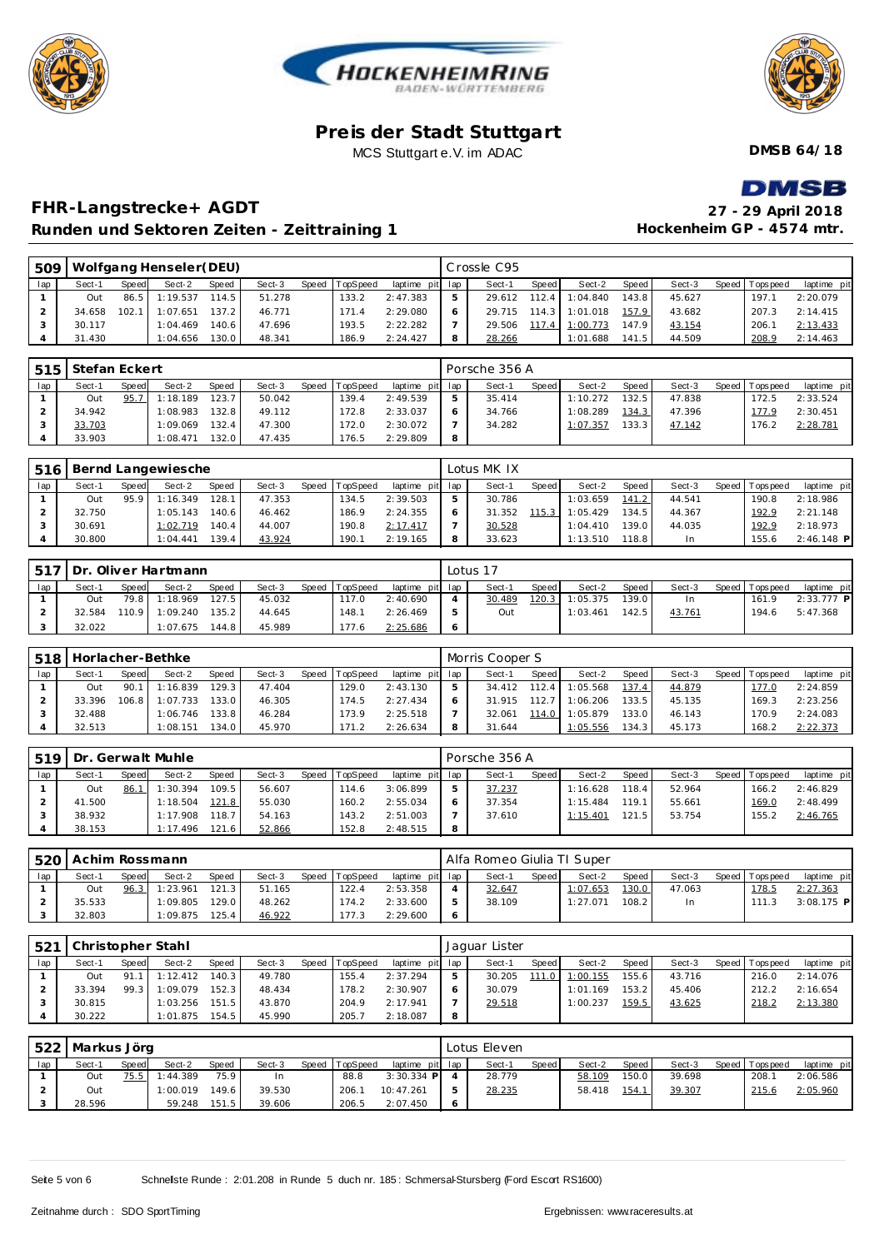





**DMSB 64/18**

## **DMSR**

### **FHR-Langstrecke+ AGDT 27 - 29 April 2018 Runden und Sektoren Zeiten - Zeittraining 1**

| 27 - 29 April 2018        |
|---------------------------|
| Hockenheim GP - 4574 mtr. |

| 509 |        |       | Wolfgang Henseler (DEU) |       |        |                |                 |   | Crossle C95    |       |                       |       |        |                 |             |
|-----|--------|-------|-------------------------|-------|--------|----------------|-----------------|---|----------------|-------|-----------------------|-------|--------|-----------------|-------------|
| lap | Sect-1 | Speed | Sect-2                  | Speed | Sect-3 | Speed TopSpeed | laptime pit lap |   | Sect-1         | Speed | Sect-2                | Speed | Sect-3 | Speed Tops peed | laptime pit |
|     | Out    |       | 86.5 1:19.537           | 114.5 | 51.278 | 133.2          | 2:47.383        | 5 | $29.612$ 112.4 |       | 1:04.840              | 143.8 | 45.627 | 197.1           | 2:20.079    |
|     | 34.658 | 102.1 | 1:07.651                | 137.2 | 46.771 | 171.4          | 2:29.080        |   |                |       | 29.715 114.3 1:01.018 | 157.9 | 43.682 | 207.3           | 2:14.415    |
|     | 30.117 |       | 1:04.469                | 140.6 | 47.696 | 193.5          | 2:22.282        |   | 29.506 117.4   |       | 1:00.773              | 147.9 | 43.154 | 206.7           | 2:13.433    |
|     | 31.430 |       | 1:04.656                | 130.0 | 48.341 | 186.9          | 2:24.427        | 8 | 28.266         |       | 1:01.688              | 141.5 | 44.509 | 208.9           | 2:14.463    |

| 515 | l Stefan Eckert |       |          |                    |        |                |                 |    | Porsche 356 A |       |          |         |        |                |             |
|-----|-----------------|-------|----------|--------------------|--------|----------------|-----------------|----|---------------|-------|----------|---------|--------|----------------|-------------|
| lap | Sect-1          | Speed | Sect-2   | Speed              | Sect-3 | Speed TopSpeed | laptime pit lap |    | Sect-1        | Speed | Sect-2   | Speed I | Sect-3 | Speed Topspeed | laptime pit |
|     | Out             | 95.7  | 1:18.189 | 123.7              | 50.042 | 139.4          | 2:49.539        | 5  | 35.414        |       | 1:10.272 | 132.5   | 47.838 | 172.5          | 2:33.524    |
|     | 34.942          |       | 1:08.983 | 132.8 <sub>1</sub> | 49.112 | 172.8          | 2:33.037        | -6 | 34.766        |       | 1:08.289 | 134.3   | 47.396 | 177.9          | 2:30.451    |
|     | 33.703          |       | 1:09.069 | 132.4              | 47.300 | 172.0          | 2:30.072        |    | 34.282        |       | 1:07.357 | 133.3   | 47.142 | 176.2          | 2:28.781    |
|     | 33.903          |       | 1:08.471 | 132.0              | 47.435 | 176.5          | 2:29.809        | -8 |               |       |          |         |        |                |             |

| 516 |        |              | Bernd Langewiesche |              |        |       |                 |                 | Lotus MK IX |       |          |       |           |       |          |              |
|-----|--------|--------------|--------------------|--------------|--------|-------|-----------------|-----------------|-------------|-------|----------|-------|-----------|-------|----------|--------------|
| lap | Sect-1 | <b>Speed</b> | Sect-2             | <b>Speed</b> | Sect-3 | Speed | <b>TopSpeed</b> | laptime pit lap | Sect-1      | Speed | Sect-2   | Speed | Sect-3    | Speed | Topspeed | laptime pit  |
|     | Out    | 95.9         | 1:16.349           | 128.1        | 47.353 |       | 134.5           | 2:39.503        | 30.786      |       | 1:03.659 | 141.2 | 44.541    |       | 190.8    | 2:18.986     |
|     | 32.750 |              | 1:05.143           | 140.61       | 46.462 |       | 186.9           | 2:24.355        | 31.352      | 115.3 | 1:05.429 | 134.5 | 44.367    |       | 192.9    | 2:21.148     |
|     | 30.691 |              | 1:02.719           | 140.4        | 44.007 |       | 190.8           | 2:17.417        | 30.528      |       | 1:04.410 | 139.0 | 44.035    |       | 192.9    | 2:18.973     |
|     | 30.800 |              | 1:04.441           | 139.4        | 43.924 |       | 190.1           | 2:19.165        | 33.623      |       | 1:13.510 | 118.8 | <b>In</b> |       | 155.6    | $2:46.148$ P |

|     |        |              | 517   Dr. Oliver Hartmann |              |        |                |                 |         | Lotus 17 |              |          |       |           |                 |              |
|-----|--------|--------------|---------------------------|--------------|--------|----------------|-----------------|---------|----------|--------------|----------|-------|-----------|-----------------|--------------|
| lap | Sect-1 | <b>Speed</b> | Sect-2                    | <b>Speed</b> | Sect-3 | Speed TopSpeed | laptime pit lap |         | Sect-1   | <b>Speed</b> | Sect-2   | Speed | Sect-3    | Speed Tops peed | laptime pit  |
|     | Out    |              | 79.8 1:18.969             | 127.5        | 45.032 |                | 2:40.690        | 4       | 30.489   | 120.3        | 1:05.375 | 139.0 | <b>In</b> | 161.9           | $2:33.777$ P |
|     | 32.584 | 110.9        | 1:09.240                  | 135.2        | 44.645 | 148.1          | 2:26.469        | 5       | Out      |              | 1:03.461 | 142.5 | 43.761    | 194.6           | 5:47.368     |
|     | 32.022 |              | :07.675                   | 144.8        | 45.989 | '77.6          | 2:25.686        | $\circ$ |          |              |          |       |           |                 |              |

|     | 518   Horlacher-Bethke |       |          |              |        |       |                 |                 | Morris Cooper S |         |          |       |        |                 |             |
|-----|------------------------|-------|----------|--------------|--------|-------|-----------------|-----------------|-----------------|---------|----------|-------|--------|-----------------|-------------|
| lap | Sect-1                 | Speed | Sect-2   | <b>Speed</b> | Sect-3 | Speed | <b>TopSpeed</b> | laptime pit lap | Sect-1          | Speed I | Sect-2   | Speed | Sect-3 | Speed Tops peed | laptime pit |
|     | Out                    | 90.1  | 1:16.839 | 129.3        | 47.404 |       | 29.0            | 2:43.130        | $34.412$ 112.4  |         | 1:05.568 | 137.4 | 44.879 | 177.0           | 2:24.859    |
|     | 33.396                 | 106.8 | 1:07.733 | 133.0        | 46.305 |       | 174.5           | 2:27.434        | 31.915          | 1127    | 1:06.206 | 133.5 | 45.135 | 169.3           | 2:23.256    |
|     | 32.488                 |       | 1:06.746 | 133.8        | 46.284 |       | 173.9           | 2:25.518        | 32.061          | 114.0   | 1:05.879 | 133.0 | 46.143 | 170.9           | 2:24.083    |
|     | 32.513                 |       | 1:08.151 | 134.0        | 45.970 |       | 171.2           | 2:26.634        | 31.644          |         | 1:05.556 | 134.3 | 45.173 | 168.2           | 2:22.373    |

| 519 |        |       | Dr. Gerwalt Muhle |       |        |       |          |                 | Porsche 356 A |       |          |       |        |                   |             |
|-----|--------|-------|-------------------|-------|--------|-------|----------|-----------------|---------------|-------|----------|-------|--------|-------------------|-------------|
| lap | Sect-1 | Speed | Sect-2            | Speed | Sect-3 | Speed | TopSpeed | laptime pit lap | Sect-1        | Speed | Sect-2   | Speed | Sect-3 | Speed   Tops peed | laptime pit |
|     | Out    | 86.1  | 1:30.394          | 109.5 | 56.607 |       | 114.6    | 3:06.899        | 37.237        |       | 1:16.628 | 118.4 | 52.964 | 166.2             | 2:46.829    |
|     | 41.500 |       | 1:18.504          | 121.8 | 55.030 |       | 160.2    | 2:55.034        | 37.354        |       | 1:15.484 | 119.1 | 55.661 | 169.C             | 2:48.499    |
|     | 38.932 |       | 1:17.908          | 18.7  | 54.163 |       | 143.2    | 2:51.003        | 37.610        |       | 1:15.401 | 121.5 | 53.754 | 155.2             | 2:46.765    |
|     | 38.153 |       | 1:17.496          | 121.6 | 52.866 |       | 152.8    | 2:48.515        |               |       |          |       |        |                   |             |

|     | 520   Achim Rossmann |              |          |        |        |       |          |                 | Alfa Romeo Giulia TI Super |       |          |       |           |                 |              |
|-----|----------------------|--------------|----------|--------|--------|-------|----------|-----------------|----------------------------|-------|----------|-------|-----------|-----------------|--------------|
| lap | Sect-1               | <b>Speed</b> | Sect-2   | Speed  | Sect-3 | Speed | TopSpeed | laptime pit lap | Sect-1                     | Speed | Sect-2   | Speed | Sect-3    | Speed Tops peed | laptime pit  |
|     | Out                  | 96.3         | 1:23.961 | 121.3  | 51.165 |       | 122.4    | 2:53.358        | 32.647                     |       | 1:07.653 | 130.0 | 47.063    | 178.5           | 2:27.363     |
|     | 35.533               |              | :09.805  | 129.01 | 48.262 |       | 174.2    | 2:33.600        | 38.109                     |       | 1:27.071 | 108.2 | <b>In</b> | 111.3           | $3:08.175$ P |
|     | 32.803               |              | :09.875  | 125.4  | 46.922 |       | 177.3    | 2:29.600        |                            |       |          |       |           |                 |              |

| 521 |        |       | Christopher Stahl |              |        |                |                 |              | Jaquar Lister |             |          |       |        |                 |             |
|-----|--------|-------|-------------------|--------------|--------|----------------|-----------------|--------------|---------------|-------------|----------|-------|--------|-----------------|-------------|
| lap | Sect-1 | Speed | Sect-2            | <b>Speed</b> | Sect-3 | Speed TopSpeed | laptime pit lap |              | Sect-1        | Speed       | Sect-2   | Speed | Sect-3 | Speed Tops peed | laptime pit |
|     | Out    | 91.1  | 1:12.412          | 140.3        | 49.780 | 155.4          | 2:37.294        | 5            | 30.205        | 111<br>.O I | 1:00.155 | 155.6 | 43.716 | 216.0           | 2:14.076    |
|     | 33.394 | 99.3  | 1:09.079          | 152.3        | 48.434 | 178.2          | 2:30.907        | <sub>6</sub> | 30.079        |             | 1:01.169 | 153.2 | 45.406 | 212.2           | 2:16.654    |
|     | 30.815 |       | 1:03.256          | 151.5        | 43.870 | 204.9          | 2:17.941        |              | 29.518        |             | 1:00.237 | 159.5 | 43.625 | 218.2           | 2:13.380    |
|     | 30.222 |       | 1:01.875          | 154.5        | 45.990 | 205.7          | 2:18.087        | 8            |               |             |          |       |        |                 |             |

|     | 522 Markus Jörg |       |          |              |        |                |                 | Lotus Eleven |              |        |       |        |                   |             |
|-----|-----------------|-------|----------|--------------|--------|----------------|-----------------|--------------|--------------|--------|-------|--------|-------------------|-------------|
| lap | Sect-1          | Speed | Sect-2   | <b>Speed</b> | Sect-3 | Speed TopSpeed | laptime pit lap | Sect-1       | <b>Speed</b> | Sect-2 | Speed | Sect-3 | Speed   Tops peed | laptime pit |
|     | Out             | 75.5  | 1:44.389 | 75.9         | 1n     | 88.8           | $3:30.334$ P    | 28.779       |              | 58.109 | 150.0 | 39.698 | 208.              | 2:06.586    |
|     | Out             |       | 1:00.019 | 149.6        | 39.530 | 206.7          | 10:47.261       | 28.235       |              | 58.418 | 154.1 | 39.307 | 215.6             | 2:05.960    |
|     | 28.596          |       | 59.248   | 151.5        | 39.606 | 206.5          | 2:07.450        |              |              |        |       |        |                   |             |

Seite 5 von 6 Schnelste Runde : 2:01.208 in Runde 5 duch nr. 185 : Schmersal-Stursberg (Ford Escort RS1600)